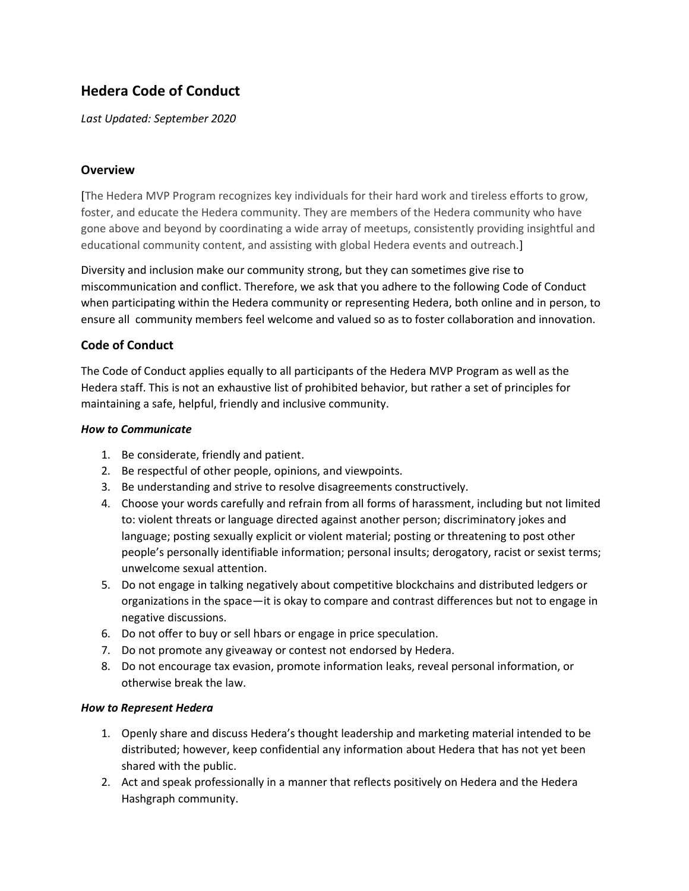# **Hedera Code of Conduct**

*Last Updated: September 2020*

## **Overview**

[The Hedera MVP Program recognizes key individuals for their hard work and tireless efforts to grow, foster, and educate the Hedera community. They are members of the Hedera community who have gone above and beyond by coordinating a wide array of meetups, consistently providing insightful and educational community content, and assisting with global Hedera events and outreach.]

Diversity and inclusion make our community strong, but they can sometimes give rise to miscommunication and conflict. Therefore, we ask that you adhere to the following Code of Conduct when participating within the Hedera community or representing Hedera, both online and in person, to ensure all community members feel welcome and valued so as to foster collaboration and innovation.

## **Code of Conduct**

The Code of Conduct applies equally to all participants of the Hedera MVP Program as well as the Hedera staff. This is not an exhaustive list of prohibited behavior, but rather a set of principles for maintaining a safe, helpful, friendly and inclusive community.

#### *How to Communicate*

- 1. Be considerate, friendly and patient.
- 2. Be respectful of other people, opinions, and viewpoints.
- 3. Be understanding and strive to resolve disagreements constructively.
- 4. Choose your words carefully and refrain from all forms of harassment, including but not limited to: violent threats or language directed against another person; discriminatory jokes and language; posting sexually explicit or violent material; posting or threatening to post other people's personally identifiable information; personal insults; derogatory, racist or sexist terms; unwelcome sexual attention.
- 5. Do not engage in talking negatively about competitive blockchains and distributed ledgers or organizations in the space—it is okay to compare and contrast differences but not to engage in negative discussions.
- 6. Do not offer to buy or sell hbars or engage in price speculation.
- 7. Do not promote any giveaway or contest not endorsed by Hedera.
- 8. Do not encourage tax evasion, promote information leaks, reveal personal information, or otherwise break the law.

#### *How to Represent Hedera*

- 1. Openly share and discuss Hedera's thought leadership and marketing material intended to be distributed; however, keep confidential any information about Hedera that has not yet been shared with the public.
- 2. Act and speak professionally in a manner that reflects positively on Hedera and the Hedera Hashgraph community.